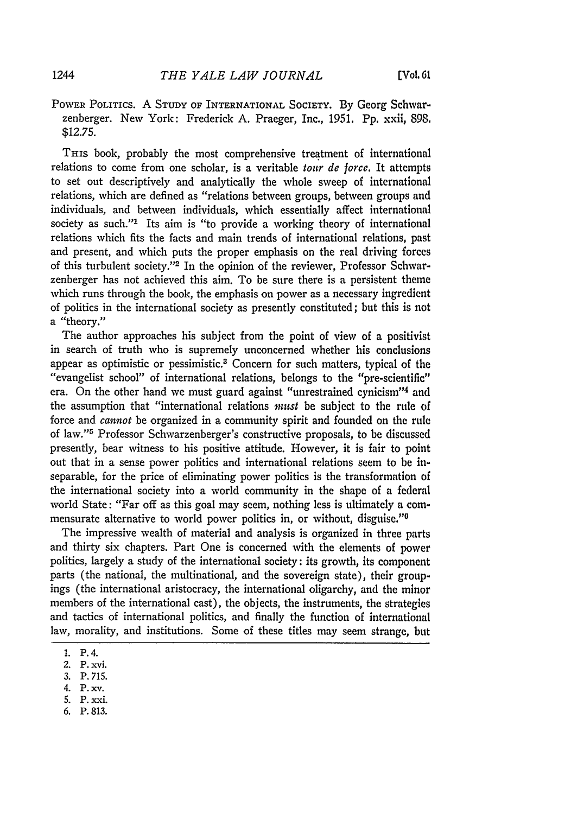POWER POLITICS. A **STUDY** OF INTERNATIONAL SOCIETY. By Georg Schwarzenberger. New York: Frederick A. Praeger, Inc., 1951. Pp. xxii, **898.** \$12.75.

THIS book, probably the most comprehensive treatment of international relations to come from one scholar, is a veritable *tour de forcc.* It attempts to set out descriptively and analytically the whole sweep of international relations, which are defined as "relations between groups, between groups and individuals, and between individuals, which essentially affect international society as such."<sup>1</sup> Its aim is "to provide a working theory of international relations which fits the facts and main trends of international relations, past and present, and which puts the proper emphasis on the real driving forces of this turbulent society."<sup>2</sup> In the opinion of the reviewer, Professor Schwarzenberger has not achieved this aim. To be sure there is a persistent theme which runs through the book, the emphasis on power as a necessary ingredient of politics in the international society as presently constituted; but this is not a "theory."

The author approaches his subject from the point of view of a positivist in search of truth who is supremely unconcerned whether his conclusions appear as optimistic or pessimistic.<sup>3</sup> Concern for such matters, typical of the "evangelist school" of international relations, belongs to the "pre-scientific" era. On the other hand we must guard against "unrestrained cynicism"<sup>4</sup> and the assumption that "international relations *must* be subject to the rule of force and *cannot* be organized in a community spirit and founded on the rule of law."<sup>5</sup> Professor Schwarzenberger's constructive proposals, to be discussed presently, bear witness to his positive attitude. However, it is fair to point out that in a sense power politics and international relations seem to be inseparable, for the price of eliminating power politics is the transformation of the international society into a world community in the shape of a federal world State: "Far off as this goal may seem, nothing less is ultimately a commensurate alternative to world power politics in, or without, disguise."<sup>6</sup>

The impressive wealth of material and analysis is organized in three parts and thirty six chapters. Part One is concerned with the elements of power politics, largely a study of the international society: its growth, its component parts (the national, the multinational, and the sovereign state), their groupings (the international aristocracy, the international oligarchy, and the minor members of the international cast), the objects, the instruments, the strategies and tactics of international politics, and finally the function of international law, morality, and institutions. Some of these titles may seem strange, but

- 5. P. xxi.
- 6. P. 813.

<sup>1.</sup> P. 4.

<sup>2.</sup> P. xvi.

<sup>3.</sup> P. 715.

<sup>4.</sup> P. xv.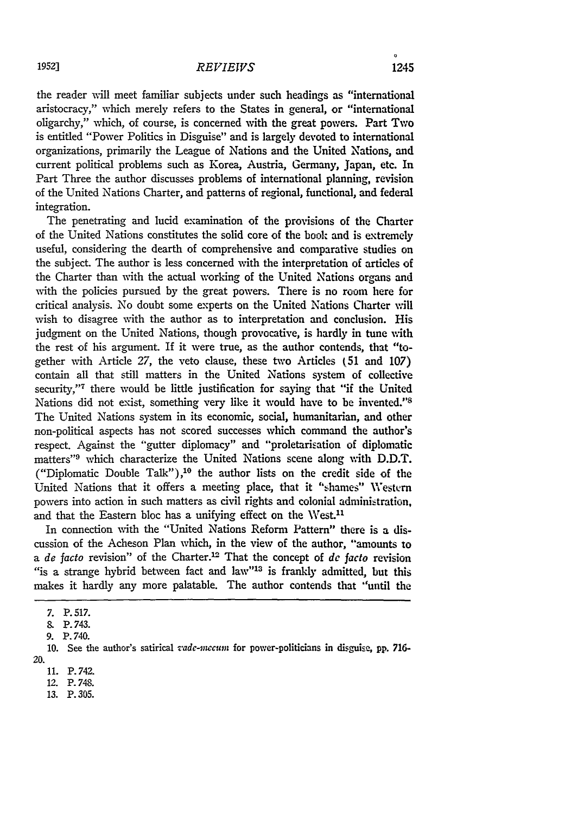the reader will meet familiar subjects under such headings as "international aristocracy," which merely refers to the States in general, or "international oligarchy," which, of course, is concerned with the great powers. Part Two is entitled "Power Politics in Disguise" and is largely devoted to international organizations, primarily the League of Nations and the United Nations, and current political problems such as Korea, Austria, Germany, Japan, etc. In Part Three the author discusses problems of international planning, revision of the United Nations Charter, and patterns of regional, functional, and federal integration.

The penetrating and lucid examination of the provisions of the Charter of the United Nations constitutes the solid core of the book and is extremely useful, considering the dearth of comprehensive and comparative studies on the subject. The author is less concerned with the interpretation of articles of the Charter than with the actual working of the United Nations organs and with the policies pursued by the great powers. There is no room here for critical analysis. No doubt some experts on the United Nations Charter will wish to disagree with the author as to interpretation and conclusion. His judgment on the United Nations, though provocative, is hardly in tune with the rest of his argument. If it were true, as the author contends, that "together with Article 27, the veto clause, these two Articles **(51** and 107) contain all that still matters in the United Nations system of collective security,"<sup>7</sup> there would be little justification for saying that "if the United Nations did not exist, something very like it would have to be invented." The United Nations system in its economic, social, humanitarian, and other non-political aspects has not scored successes which command the author's respect. Against the "gutter diplomacy" and "proletarisation of diplomatic matters"<sup>9</sup> which characterize the United Nations scene along with D.D.T. ("Diplomatic Double Talk"),10 the author lists on the credit side of the United Nations that it offers a meeting place, that it "shames" Western powers into action in such matters as civil rights and colonial administration, and that the Eastern bloc has a unifying effect on the West.<sup>11</sup>

In connection with the "United Nations Reform Pattern" there is a discussion of the Acheson Plan which, in the view of the author, "amounts to a *de* facto revision" of the Charter.<sup>12</sup> That the concept of *de* facto revision "is a strange hybrid between fact and law"'13 is frankly admitted, but this makes it hardly any more palatable. The author contends that "until the

<sup>7.</sup> P. 517.

**<sup>&</sup>amp;** P. 743.

<sup>9.</sup> P. 740.

<sup>10.</sup> See the author's satirical *vzadc-2mcion* for power-politicians in disguise, pp. **716-** 20.

<sup>11.</sup> P. 742.

<sup>12.</sup> P. 748.

<sup>13.</sup> P. 305.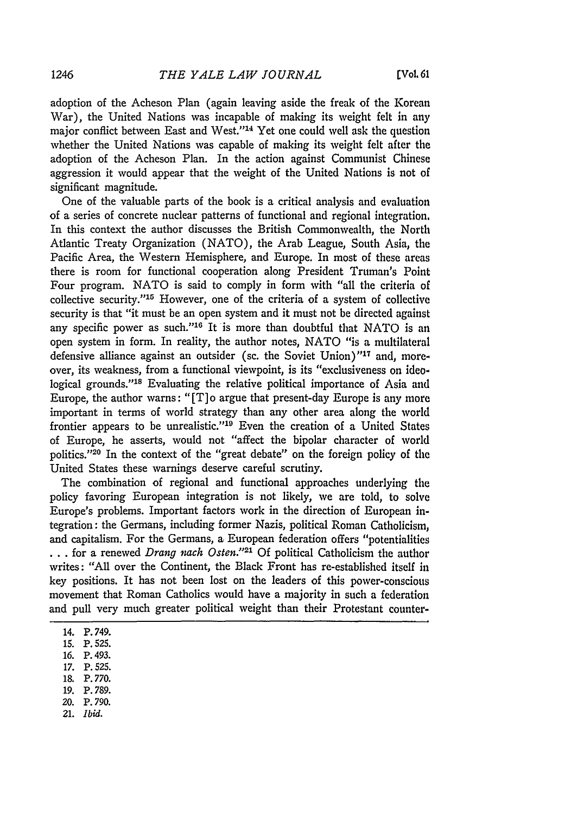adoption of the Acheson Plan (again leaving aside the freak of the Korean War), the United Nations was incapable of making its weight felt in any major conflict between East and West."<sup>14</sup> Yet one could well ask the question whether the United Nations was capable of making its weight felt after the adoption of the Acheson Plan. In the action against Communist Chinese aggression it would appear that the weight of the United Nations is not of significant magnitude.

One of the valuable parts of the book is a critical analysis and evaluation of a series of concrete nuclear patterns of functional and regional integration. In this context the author discusses the British Commonwealth, the North Atlantic Treaty Organization (NATO), the Arab League, South Asia, the Pacific Area, the Western Hemisphere, and Europe. In most of these areas there is room for functional cooperation along President Truman's Point Four program. NATO is said to comply in form with "all the criteria of collective security." $15$  However, one of the criteria of a system of collective security is that "it must be an open system and it must not be directed against any specific power as such."<sup>16</sup> It is more than doubtful that NATO is an open system in form. In reality, the author notes, NATO "is a multilateral defensive alliance against an outsider (sc. the Soviet Union)"<sup>17</sup> and, moreover, its weakness, from a functional viewpoint, is its "exclusiveness on ideological grounds."<sup>18</sup> Evaluating the relative political importance of Asia and Europe, the author warns: "[T] o argue that present-day Europe is any more important in terms of world strategy than any other area along the world frontier appears to be unrealistic."<sup>19</sup> Even the creation of a United States of Europe, he asserts, would not "affect the bipolar character of world politics."<sup>20</sup> In the context of the "great debate" on the foreign policy of the United States these warnings deserve careful scrutiny.

The combination of regional and functional approaches underlying the policy favoring European integration is not likely, we are told, to solve Europe's problems. Important factors work in the direction of European integration: the Germans, including former Nazis, political Roman Catholicism, and capitalism. For the Germans, a European federation offers "potentialities **...** for a renewed *Drang nach Osten."2'* Of political Catholicism the author writes: "All over the Continent, the Black Front has re-established itself in key positions. It has not been lost on the leaders of this power-conscious movement that Roman Catholics would have a majority in such a federation and pull very much greater political weight than their Protestant counter-

- 14. P. 749.
- **15.** P. 525.
- *16.* P. 493.
- **17.** P. 525.
- **M8** P. *770.*
- **19.** P. 789.
- 20. P. 790.
- 21. *Ibid.*